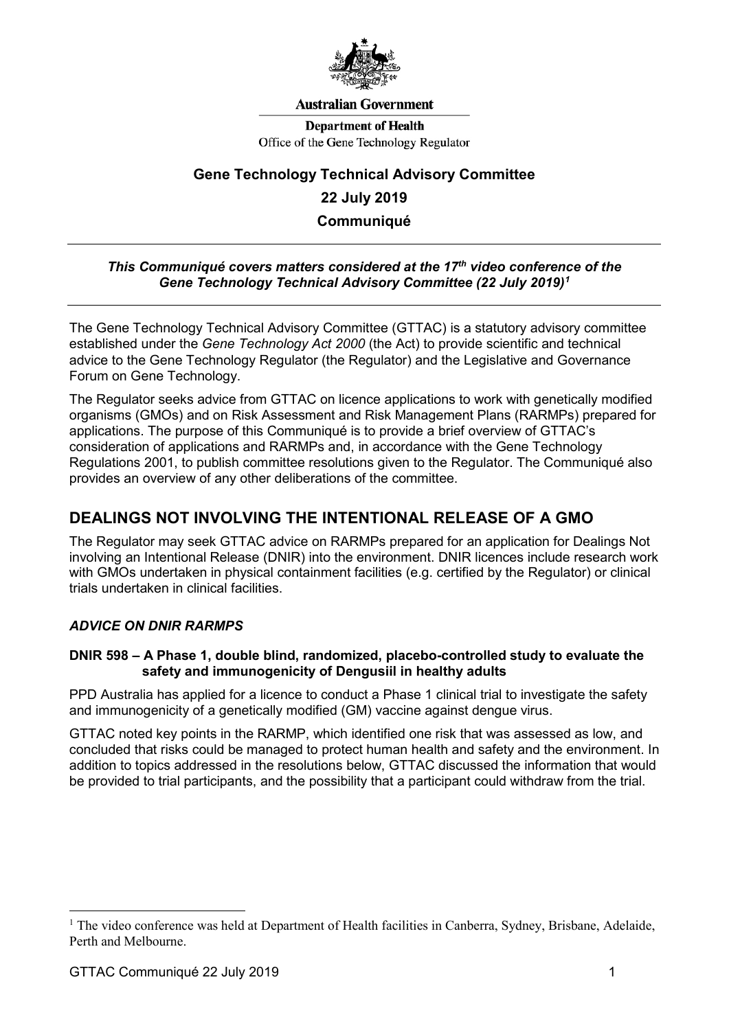

#### **Australian Government**

**Department of Health** Office of the Gene Technology Regulator

# **Gene Technology Technical Advisory Committee 22 July 2019 Communiqué**

### *This Communiqué covers matters considered at the 17th video conference of the Gene Technology Technical Advisory Committee (22 July 2019)[1](#page-0-0)*

The Gene Technology Technical Advisory Committee (GTTAC) is a statutory advisory committee established under the *Gene Technology Act 2000* (the Act) to provide scientific and technical advice to the Gene Technology Regulator (the Regulator) and the Legislative and Governance Forum on Gene Technology.

The Regulator seeks advice from GTTAC on licence applications to work with genetically modified organisms (GMOs) and on Risk Assessment and Risk Management Plans (RARMPs) prepared for applications. The purpose of this Communiqué is to provide a brief overview of GTTAC's consideration of applications and RARMPs and, in accordance with the Gene Technology Regulations 2001, to publish committee resolutions given to the Regulator. The Communiqué also provides an overview of any other deliberations of the committee.

# **DEALINGS NOT INVOLVING THE INTENTIONAL RELEASE OF A GMO**

The Regulator may seek GTTAC advice on RARMPs prepared for an application for Dealings Not involving an Intentional Release (DNIR) into the environment. DNIR licences include research work with GMOs undertaken in physical containment facilities (e.g. certified by the Regulator) or clinical trials undertaken in clinical facilities.

# *ADVICE ON DNIR RARMPS*

#### **DNIR 598 – A Phase 1, double blind, randomized, placebo-controlled study to evaluate the safety and immunogenicity of Dengusiil in healthy adults**

PPD Australia has applied for a licence to conduct a Phase 1 clinical trial to investigate the safety and immunogenicity of a genetically modified (GM) vaccine against dengue virus.

GTTAC noted key points in the RARMP, which identified one risk that was assessed as low, and concluded that risks could be managed to protect human health and safety and the environment. In addition to topics addressed in the resolutions below, GTTAC discussed the information that would be provided to trial participants, and the possibility that a participant could withdraw from the trial.

<span id="page-0-0"></span><sup>&</sup>lt;sup>1</sup> The video conference was held at Department of Health facilities in Canberra, Sydney, Brisbane, Adelaide, Perth and Melbourne.